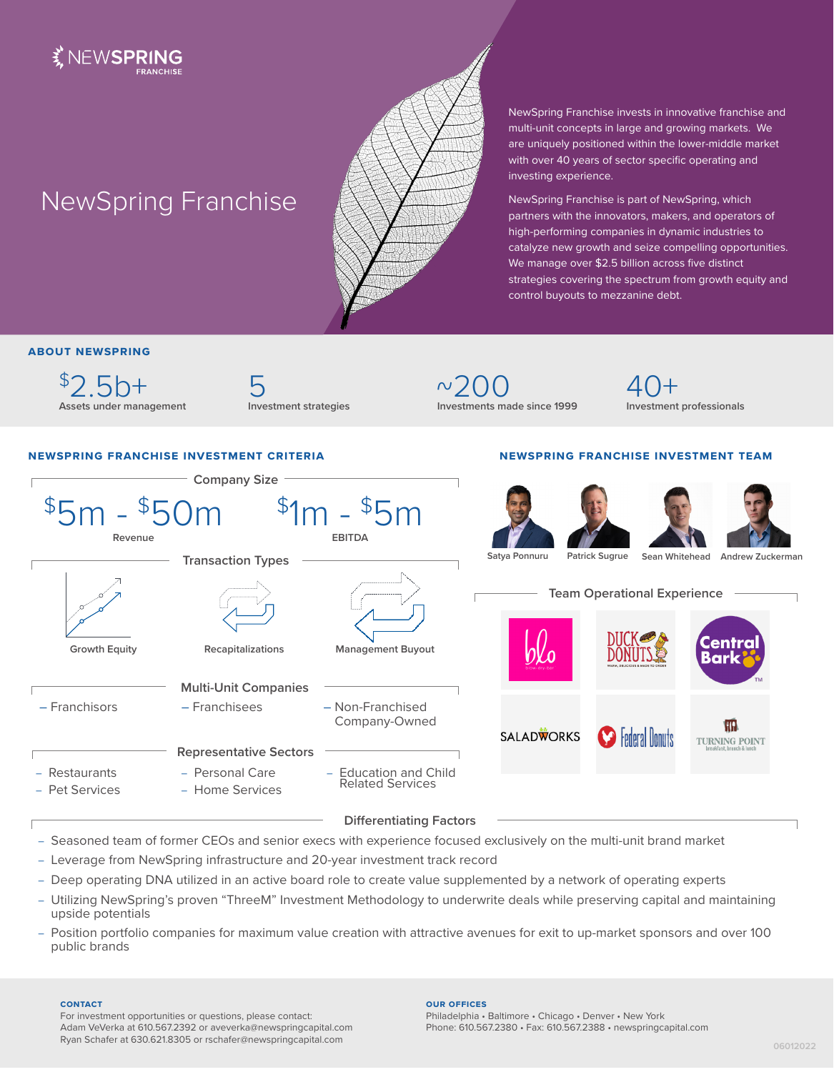

# NewSpring Franchise



NewSpring Franchise invests in innovative franchise and multi-unit concepts in large and growing markets. We are uniquely positioned within the lower-middle market with over 40 years of sector specific operating and investing experience.

NewSpring Franchise is part of NewSpring, which partners with the innovators, makers, and operators of high-performing companies in dynamic industries to catalyze new growth and seize compelling opportunities. We manage over \$2.5 billion across five distinct strategies covering the spectrum from growth equity and control buyouts to mezzanine debt.

**newspring franchise investment team**

## **about newspring**

 $$2.5h+$ **Assets under management** 5 **Investment strategies**

 $\sim$ 200 **Investments made since 1999** 40+ **Investment professionals**

## **newspring franchise investment criteria**

### **Company Size**  $$5m - $50m$  $$1m - $5m$ **Revenue EBITDA Sean Whitehead Andrew Zuckerman Satya Ponnuru Patrick Sugrue Transaction Types Team Operational Experience** entra **Growth Equity Recapitalizations Management Buyout** Bark **Multi-Unit Companies** – Franchisors – Franchisees – Non-Franchised Company-Owned **IHR SALADWORKS Federal Honuts TURNING POINT Representative Sectors** – Personal Care **Restaurants** – Education and Child Related Services Pet Services – Home Services **Differentiating Factors**

– Seasoned team of former CEOs and senior execs with experience focused exclusively on the multi-unit brand market

- Leverage from NewSpring infrastructure and 20-year investment track record
- Deep operating DNA utilized in an active board role to create value supplemented by a network of operating experts
- Utilizing NewSpring's proven "ThreeM" Investment Methodology to underwrite deals while preserving capital and maintaining upside potentials
- Position portfolio companies for maximum value creation with attractive avenues for exit to up-market sponsors and over 100 public brands

#### **contact**

For investment opportunities or questions, please contact: Adam VeVerka at 610.567.2392 or aveverka@newspringcapital.com Ryan Schafer at 630.621.8305 or rschafer@newspringcapital.com

#### **our offices**

Philadelphia • Baltimore • Chicago • Denver • New York Phone: 610.567.2380 • Fax: 610.567.2388 • newspringcapital.com